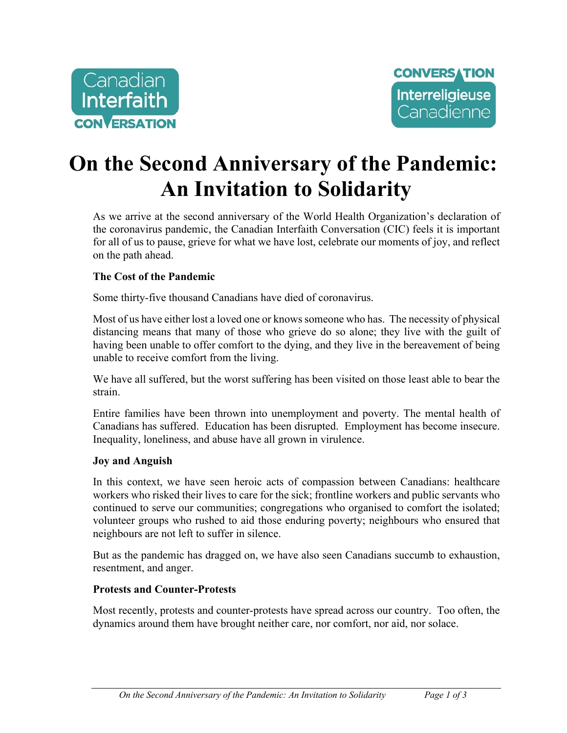



# **On the Second Anniversary of the Pandemic: An Invitation to Solidarity**

As we arrive at the second anniversary of the World Health Organization's declaration of the coronavirus pandemic, the Canadian Interfaith Conversation (CIC) feels it is important for all of us to pause, grieve for what we have lost, celebrate our moments of joy, and reflect on the path ahead.

#### **The Cost of the Pandemic**

Some thirty-five thousand Canadians have died of coronavirus.

Most of us have either lost a loved one or knows someone who has. The necessity of physical distancing means that many of those who grieve do so alone; they live with the guilt of having been unable to offer comfort to the dying, and they live in the bereavement of being unable to receive comfort from the living.

We have all suffered, but the worst suffering has been visited on those least able to bear the strain.

Entire families have been thrown into unemployment and poverty. The mental health of Canadians has suffered. Education has been disrupted. Employment has become insecure. Inequality, loneliness, and abuse have all grown in virulence.

#### **Joy and Anguish**

In this context, we have seen heroic acts of compassion between Canadians: healthcare workers who risked their lives to care for the sick; frontline workers and public servants who continued to serve our communities; congregations who organised to comfort the isolated; volunteer groups who rushed to aid those enduring poverty; neighbours who ensured that neighbours are not left to suffer in silence.

But as the pandemic has dragged on, we have also seen Canadians succumb to exhaustion, resentment, and anger.

#### **Protests and Counter-Protests**

Most recently, protests and counter-protests have spread across our country. Too often, the dynamics around them have brought neither care, nor comfort, nor aid, nor solace.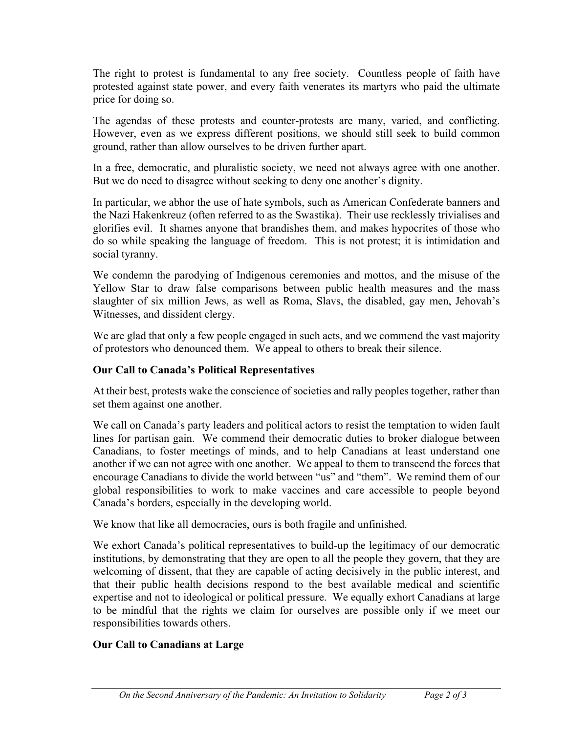The right to protest is fundamental to any free society. Countless people of faith have protested against state power, and every faith venerates its martyrs who paid the ultimate price for doing so.

The agendas of these protests and counter-protests are many, varied, and conflicting. However, even as we express different positions, we should still seek to build common ground, rather than allow ourselves to be driven further apart.

In a free, democratic, and pluralistic society, we need not always agree with one another. But we do need to disagree without seeking to deny one another's dignity.

In particular, we abhor the use of hate symbols, such as American Confederate banners and the Nazi Hakenkreuz (often referred to as the Swastika). Their use recklessly trivialises and glorifies evil. It shames anyone that brandishes them, and makes hypocrites of those who do so while speaking the language of freedom. This is not protest; it is intimidation and social tyranny.

We condemn the parodying of Indigenous ceremonies and mottos, and the misuse of the Yellow Star to draw false comparisons between public health measures and the mass slaughter of six million Jews, as well as Roma, Slavs, the disabled, gay men, Jehovah's Witnesses, and dissident clergy.

We are glad that only a few people engaged in such acts, and we commend the vast majority of protestors who denounced them. We appeal to others to break their silence.

## **Our Call to Canada's Political Representatives**

At their best, protests wake the conscience of societies and rally peoples together, rather than set them against one another.

We call on Canada's party leaders and political actors to resist the temptation to widen fault lines for partisan gain. We commend their democratic duties to broker dialogue between Canadians, to foster meetings of minds, and to help Canadians at least understand one another if we can not agree with one another. We appeal to them to transcend the forces that encourage Canadians to divide the world between "us" and "them". We remind them of our global responsibilities to work to make vaccines and care accessible to people beyond Canada's borders, especially in the developing world.

We know that like all democracies, ours is both fragile and unfinished.

We exhort Canada's political representatives to build-up the legitimacy of our democratic institutions, by demonstrating that they are open to all the people they govern, that they are welcoming of dissent, that they are capable of acting decisively in the public interest, and that their public health decisions respond to the best available medical and scientific expertise and not to ideological or political pressure. We equally exhort Canadians at large to be mindful that the rights we claim for ourselves are possible only if we meet our responsibilities towards others.

## **Our Call to Canadians at Large**